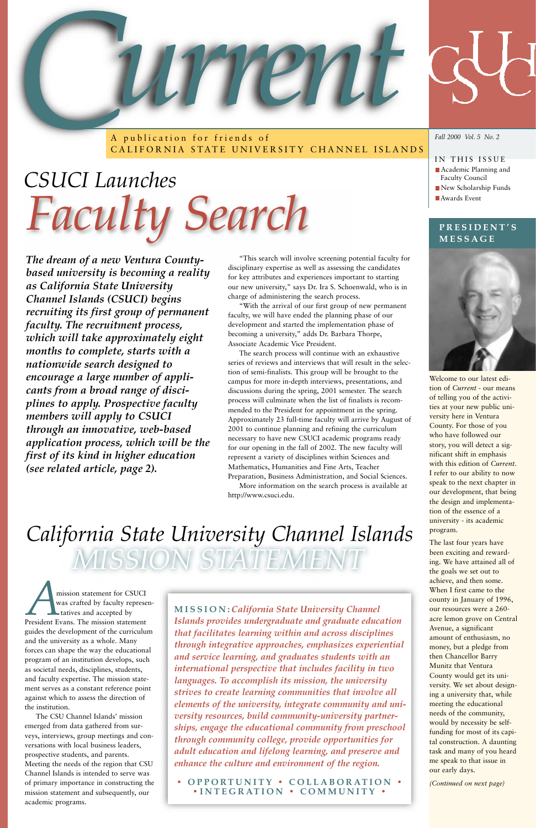mission statement for CSUCI was crafted by faculty represen-

**L** tatives and accepted by  $\blacktriangle$ President Evans. The mission statement guides the development of the curriculum and the university as a whole. Many forces can shape the way the educational program of an institution develops, such as societal needs, disciplines, students, and faculty expertise. The mission statement serves as a constant reference point against which to assess the direction of the institution.

- Academic Planning and Faculty Council
- New Scholarship Funds
- ■Awards Event

The CSU Channel Islands' mission emerged from data gathered from surveys, interviews, group meetings and conversations with local business leaders, prospective students, and parents. Meeting the needs of the region that CSU Channel Islands is intended to serve was of primary importance in constructing the mission statement and subsequently, our academic programs.



A publication for friends of CALIFORNIA STATE UNIVERSITY CHANNEL ISLANDS

*Fall 2000 Vol. 5 No. 2*

#### IN THIS ISSUE

"This search will involve screening potential faculty for disciplinary expertise as well as assessing the candidates for key attributes and experiences important to starting our new university," says Dr. Ira S. Schoenwald, who is in charge of administering the search process.

"With the arrival of our first group of new permanent faculty, we will have ended the planning phase of our development and started the implementation phase of becoming a university," adds Dr. Barbara Thorpe, Associate Academic Vice President.

The search process will continue with an exhaustive series of reviews and interviews that will result in the selection of semi-finalists. This group will be brought to the campus for more in-depth interviews, presentations, and discussions during the spring, 2001 semester. The search process will culminate when the list of finalists is recommended to the President for appointment in the spring. Approximately 23 full-time faculty will arrive by August of 2001 to continue planning and refining the curriculum necessary to have new CSUCI academic programs ready for our opening in the fall of 2002. The new faculty will represent a variety of disciplines within Sciences and Mathematics, Humanities and Fine Arts, Teacher Preparation, Business Administration, and Social Sciences.

More information on the search process is available at http://www.csuci.edu.

## **PRESIDENT'S MESSAGE**



Welcome to our latest edition of *Current* - our means of telling you of the activities at your new public university here in Ventura County. For those of you who have followed our story, you will detect a significant shift in emphasis with this edition of *Current*. I refer to our ability to now speak to the next chapter in our development, that being the design and implementation of the essence of a university - its academic program.

The last four years have been exciting and rewarding. We have attained all of the goals we set out to achieve, and then some. When I first came to the county in January of 1996, our resources were a 260 acre lemon grove on Central Avenue, a significant amount of enthusiasm, no money, but a pledge from then Chancellor Barry Munitz that Ventura County would get its university. We set about designing a university that, while meeting the educational needs of the community, would by necessity be selffunding for most of its capital construction. A daunting task and many of you heard me speak to that issue in our early days.

*(Continued on next page)*

## *MISSION STATEMENT California State University Channel Islands*

*The dream of a new Ventura Countybased university is becoming a reality as California State University Channel Islands (CSUCI) begins recruiting its first group of permanent faculty. The recruitment process, which will take approximately eight months to complete, starts with a nationwide search designed to encourage a large number of applicants from a broad range of disciplines to apply. Prospective faculty members will apply to CSUCI through an innovative, web-based application process, which will be the first of its kind in higher education (see related article, page 2).* 

## *Faculty Search CSUCI Launches*

**MISSION:** *California State University Channel Islands provides undergraduate and graduate education that facilitates learning within and across disciplines through integrative approaches, emphasizes experiential and service learning, and graduates students with an international perspective that includes facility in two languages. To accomplish its mission, the university strives to create learning communities that involve all elements of the university, integrate community and university resources, build community-university partnerships, engage the educational community from preschool through community college, provide opportunities for adult education and lifelong learning, and preserve and enhance the culture and environment of the region.*

**• OPPORTUNITY • COLLABORATION • • INTEGRATION • COMMUNITY •**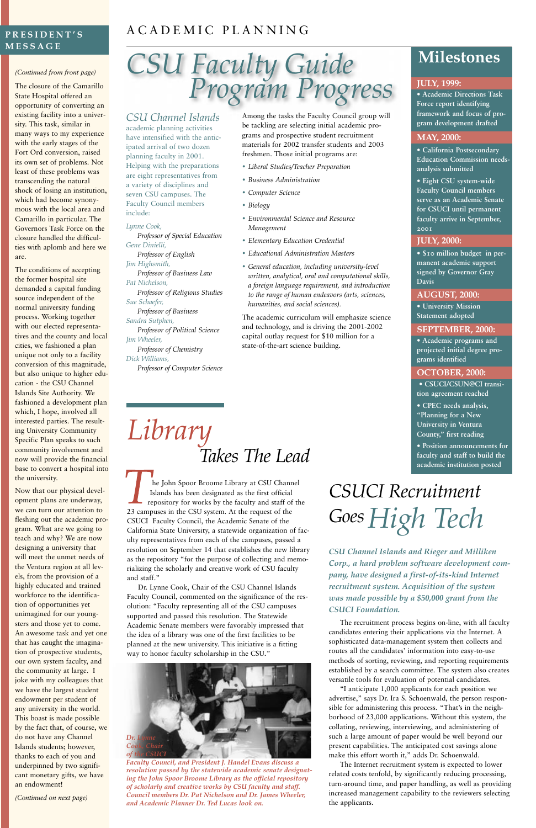#### *(Continued from front page)*

The closure of the Camarillo State Hospital offered an opportunity of converting an existing facility into a university. This task, similar in many ways to my experience with the early stages of the Fort Ord conversion, raised its own set of problems. Not least of these problems was transcending the natural shock of losing an institution, which had become synonymous with the local area and Camarillo in particular. The Governors Task Force on the closure handled the difficulties with aplomb and here we are.

The conditions of accepting the former hospital site demanded a capital funding source independent of the normal university funding process. Working together with our elected representatives and the county and local cities, we fashioned a plan unique not only to a facility conversion of this magnitude, but also unique to higher education - the CSU Channel Islands Site Authority. We fashioned a development plan which, I hope, involved all interested parties. The resulting University Community Specific Plan speaks to such community involvement and now will provide the financial base to convert a hospital into the university.

Now that our physical development plans are underway, we can turn our attention to fleshing out the academic program. What are we going to teach and why? We are now designing a university that will meet the unmet needs of the Ventura region at all levels, from the provision of a highly educated and trained workforce to the identification of opportunities yet unimagined for our youngsters and those yet to come. An awesome task and yet one that has caught the imagination of prospective students, our own system faculty, and the community at large. I joke with my colleagues that we have the largest student endowment per student of any university in the world. This boast is made possible by the fact that, of course, we do not have any Channel Islands students; however, thanks to each of you and underpinned by two significant monetary gifts, we have an endowment!

*(Continued on next page)*

## ACADEMIC PLANNING

# *CSU Faculty Guide Program Progress*

## **PRESIDENT'S MESSAGE**

## *CSU Channel Islands*

academic planning activities have intensified with the anticipated arrival of two dozen planning faculty in 2001. Helping with the preparations are eight representatives from a variety of disciplines and seven CSU campuses. The Faculty Council members include:

*Lynne Cook,*

*Professor of Special Education Gene Dinielli,*

*Professor of English Jim Highsmith,*

*Professor of Business Law Pat Nichelson,*

*Professor of Religious Studies Sue Schaefer,*

- *Professor of Business Sandra Sutphen,*
- *Professor of Political Science Jim Wheeler,*
- *Professor of Chemistry*
- *Dick Williams,*

*Professor of Computer Science*

he John Spoor Broome Library at CSU Channel Islands has been designated as the first official repository for works by the faculty and staff of the 23 campuses in the CSU system. At the request of the CSUCI Faculty Council, the Academic Senate of the California State University, a statewide organization of faculty representatives from each of the campuses, passed a resolution on September 14 that establishes the new library as the repository "for the purpose of collecting and memorializing the scholarly and creative work of CSU faculty and staff."

Dr. Lynne Cook, Chair of the CSU Channel Islands Faculty Council, commented on the significance of the resolution: "Faculty representing all of the CSU campuses supported and passed this resolution. The Statewide Academic Senate members were favorably impressed that the idea of a library was one of the first facilities to be planned at the new university. This initiative is a fitting way to honor faculty scholarship in the CSU."

Among the tasks the Faculty Council group will be tackling are selecting initial academic programs and prospective student recruitment materials for 2002 transfer students and 2003 freshmen. Those initial programs are:

- *• Liberal Studies/Teacher Preparation*
- *• Business Administration*
- *• Computer Science*
- *• Biology*
- *• Environmental Science and Resource Management*
- *• Elementary Education Credential*
- *• Educational Administration Masters*
- *• General education, including university-level written, analytical, oral and computational skills, a foreign language requirement, and introduction to the range of human endeavors (arts, sciences, humanities, and social sciences).*

The academic curriculum will emphasize science and technology, and is driving the 2001-2002 capital outlay request for \$10 million for a state-of-the-art science building.

> *CSU Channel Islands and Rieger and Milliken Corp., a hard problem software development company, have designed a first-of-its-kind Internet recruitment system. Acquisition of the system was made possible by a \$50,000 grant from the*

## *Takes The Lead Library*

#### *CSUCI Foundation.*

The recruitment process begins on-line, with all faculty candidates entering their applications via the Internet. A sophisticated data-management system then collects and routes all the candidates' information into easy-to-use methods of sorting, reviewing, and reporting requirements established by a search committee. The system also creates versatile tools for evaluation of potential candidates.

"I anticipate 1,000 applicants for each position we advertise," says Dr. Ira S. Schoenwald, the person responsible for administering this process. "That's in the neighborhood of 23,000 applications. Without this system, the collating, reviewing, interviewing, and administering of such a large amount of paper would be well beyond our present capabilities. The anticipated cost savings alone make this effort worth it," adds Dr. Schoenwald.

## *CSUCI Recruitment Goes High Tech*

The Internet recruitment system is expected to lower related costs tenfold, by significantly reducing processing, turn-around time, and paper handling, as well as providing increased management capability to the reviewers selecting the applicants.

## **Milestones**

**• Academic Directions Task Force report identifying framework and focus of program development drafted**

**• California Postsecondary Education Commission needsanalysis submitted**

**• Eight CSU system-wide Faculty Council members serve as an Academic Senate for CSUCI until permanent faculty arrive in September, 2001**

**• \$10 million budget in permanent academic support signed by Governor Gray Davis**

**• University Mission Statement adopted**

**• Academic programs and projected initial degree programs identified**

**• CSUCI/CSUN@CI transition agreement reached** 

**• CPEC needs analysis, "Planning for a New University in Ventura County," first reading**

**• Position announcements for faculty and staff to build the academic institution posted**



*Faculty Council, and President J. Handel Evans discuss a resolution passed by the statewide academic senate designating the John Spoor Broome Library as the official repository of scholarly and creative works by CSU faculty and staff. Council members Dr. Pat Nichelson and Dr. James Wheeler, and Academic Planner Dr. Ted Lucas look on.*

### **JULY, 1999:**

## **MAY, 2000:**

## **JULY, 2000:**

## **AUGUST, 2000:**

## **SEPTEMBER, 2000:**

## **OCTOBER, 2000:**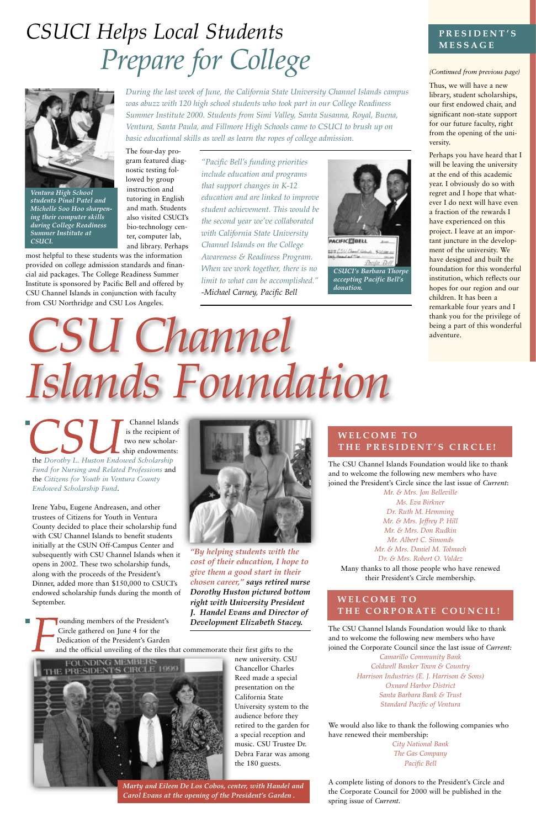Channel Islands is the recipient of two new scholar-**L** ship endowments: the *Dorothy L. Huston Endowed Scholarship Fund for Nursing and Related Professions* and the *Citizens for Youth in Ventura County Endowed Scholarship Fund*.

Irene Yabu, Eugene Andreasen, and other trustees of Citizens for Youth in Ventura County decided to place their scholarship fund with CSU Channel Islands to benefit students initially at the CSUN Off-Campus Center and subsequently with CSU Channel Islands when it opens in 2002. These two scholarship funds, along with the proceeds of the President's Dinner, added more than \$150,000 to CSUCI's endowed scholarship funds during the month of September.



ounding members of the President's Circle gathered on June 4 for the Dedication of the President's Garden

and the official unveiling of the tiles that commemorate their first gifts to the



new university. CSU Chancellor Charles Reed made a special presentation on the California State University system to the audience before they retired to the garden for a special reception and music. CSU Trustee Dr. Debra Farar was among the 180 guests.

*During the last week of June, the California State University Channel Islands campus was abuzz with 120 high school students who took part in our College Readiness Summer Institute 2000. Students from Simi Valley, Santa Susanna, Royal, Buena, Ventura, Santa Paula, and Fillmore High Schools came to CSUCI to brush up on basic educational skills as well as learn the ropes of college admission.*

most helpful to these students was the information provided on college admission standards and financial aid packages. The College Readiness Summer Institute is sponsored by Pacific Bell and offered by CSU Channel Islands in conjunction with faculty from CSU Northridge and CSU Los Angeles.

#### *(Continued from previous page)*

Thus, we will have a new library, student scholarships, our first endowed chair, and significant non-state support for our future faculty, right from the opening of the university.

 $\vec{p}_R$ *CSUCI's Barbara Thorpe accepting Pacific Bell's donation.*

Perhaps you have heard that I will be leaving the university at the end of this academic year. I obviously do so with regret and I hope that whatever I do next will have even a fraction of the rewards I have experienced on this project. I leave at an important juncture in the development of the university. We have designed and built the foundation for this wonderful institution, which reflects our hopes for our region and our children. It has been a remarkable four years and I thank you for the privilege of being a part of this wonderful adventure.

## *Prepare for College CSUCI Helps Local Students* **PRESIDENT'S**

## **MESSAGE**

The CSU Channel Islands Foundation would like to thank and to welcome the following new members who have joined the President's Circle since the last issue of *Current*:

The four-day program featured diagnostic testing followed by group instruction and tutoring in English and math. Students also visited CSUCI's bio-technology center, computer lab, and library. Perhaps *"Pacific Bell's funding priorities include education and programs that support changes in K-12 education and are linked to improve student achievement. This would be the second year we've collaborated with California State University Channel Islands on the College Awareness & Readiness Program. When we work together, there is no limit to what can be accomplished."*



*Mr. & Mrs. Jon Belleville Ms. Eva Birkner Dr. Ruth M. Hemming Mr. & Mrs. Jeffrey P. Hill Mr. & Mrs. Don Rudkin Mr. Albert C. Simonds Mr. & Mrs. Daniel M. Tolmach Dr. & Mrs. Robert O. Valdez*

Many thanks to all those people who have renewed their President's Circle membership.

The CSU Channel Islands Foundation would like to thank and to welcome the following new members who have joined the Corporate Council since the last issue of *Current:*

> *Camarillo Community Bank Coldwell Banker Town & Country Harrison Industries (E. J. Harrison & Sons) Oxnard Harbor District Santa Barbara Bank & Trust Standard Pacific of Ventura*

We would also like to thank the following companies who have renewed their membership:

> *City National Bank The Gas Company Pacific Bell*

A complete listing of donors to the President's Circle and the Corporate Council for 2000 will be published in the spring issue of *Current.*

## **WELCOME TO THE PRESIDENT'S CIRCLE!**

## **WELCOME TO**

#### **THE CORPORATE COUNCIL!**

*Marty and Eileen De Los Cobos, center, with Handel and Carol Evans at the opening of the President's Garden .*

*-Michael Carney, Pacific Bell*



*Ventura High School students Pinal Patel and Michelle Soo Hoo sharpening their computer skills during College Readiness Summer Institute at CSUCI.*

# *CSU Channel Islands Foundation*

*"By helping students with the cost of their education, I hope to give them a good start in their chosen career," says retired nurse Dorothy Huston pictured bottom right with University President*

*J. Handel Evans and Director of Development Elizabeth Stacey.*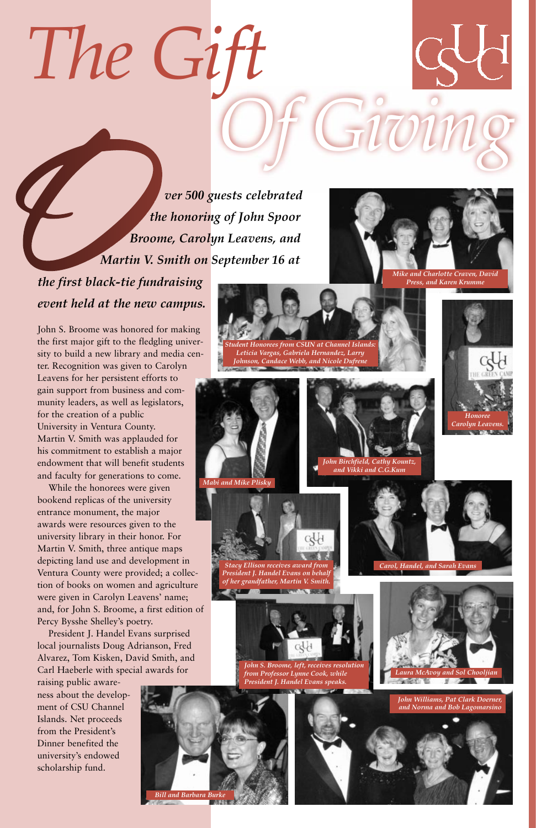John S. Broome was honored for making the first major gift to the fledgling university to build a new library and media center. Recognition was given to Carolyn Leavens for her persistent efforts to gain support from business and community leaders, as well as legislators, for the creation of a public University in Ventura County. Martin V. Smith was applauded for his commitment to establish a major endowment that will benefit students and faculty for generations to come.

> *and Norma and Bob Lagomarsino Bill and Barbara Burke*

While the honorees were given bookend replicas of the university entrance monument, the major awards were resources given to the university library in their honor. For Martin V. Smith, three antique maps depicting land use and development in Ventura County were provided; a collection of books on women and agriculture were given in Carolyn Leavens' name; and, for John S. Broome, a first edition of Percy Bysshe Shelley's poetry. President J. Handel Evans surprised local journalists Doug Adrianson, Fred Alvarez, Tom Kisken, David Smith, and Carl Haeberle with special awards for raising public awareness about the development of CSU Channel Islands. Net proceeds from the President's Dinner benefited the university's endowed

*President J. Handel Evans on behalf of her grandfather, Martin V. Smith.* **USAWAN SERVE** 



scholarship fund.

# The Gift

*ver 500 guests celebrated the honoring of John Spoor Broome, Carolyn Leavens, and Martin V. Smith on September 16 at*

*the first black-tie fundraising event held at the new campus.* 



*Mabi and Mike Plisky*





*John Williams, Pat Clark Doerner,*

 $\mathbf{H}$ 

w

*John Birchfield, Cathy Kountz, and Vikki and C.G.Kum*



*Student Honorees from CSUN at Channel Islands: Leticia Vargas, Gabriela Hernandez, Larry Johnson, Candace Webb, and Nicole Dufrene*





*Press, and Karen Krumme*





*John S. Broome, left, receives resolution from Professor Lynne Cook, while President J. Handel Evans speaks.*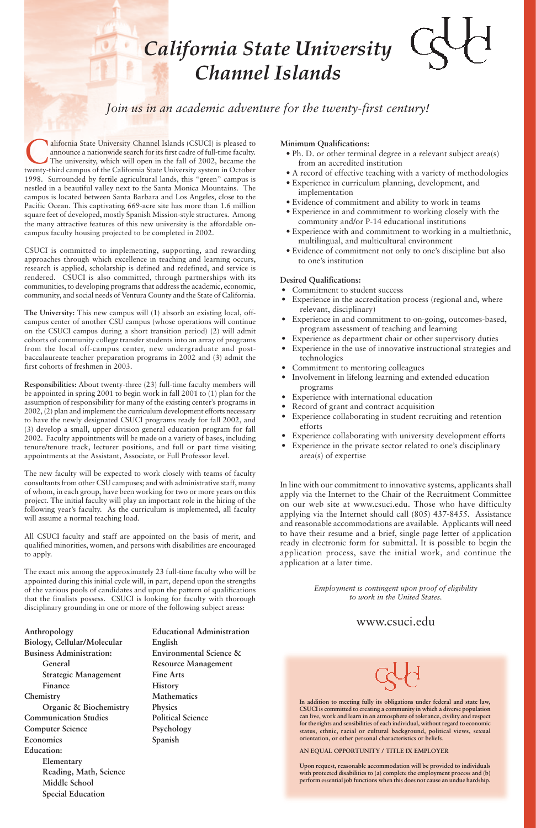## *California State University Channel Islands*

## *Join us in an academic adventure for the twenty-first century!*

alifornia State University Channel Islands (CSUCI) is pleased to announce a nationwide search for its first cadre of full-time faculty.<br>The university, which will open in the fall of 2002, became the twenty-third campus of announce a nationwide search for its first cadre of full-time faculty. The university, which will open in the fall of 2002, became the twenty-third campus of the California State University system in October 1998. Surrounded by fertile agricultural lands, this "green" campus is nestled in a beautiful valley next to the Santa Monica Mountains. The campus is located between Santa Barbara and Los Angeles, close to the Pacific Ocean. This captivating 669-acre site has more than 1.6 million square feet of developed, mostly Spanish Mission-style structures. Among the many attractive features of this new university is the affordable oncampus faculty housing projected to be completed in 2002.

CSUCI is committed to implementing, supporting, and rewarding approaches through which excellence in teaching and learning occurs, research is applied, scholarship is defined and redefined, and service is rendered. CSUCI is also committed, through partnerships with its communities, to developing programs that address the academic, economic, community, and social needs of Ventura County and the State of California.

**The University:** This new campus will (1) absorb an existing local, offcampus center of another CSU campus (whose operations will continue on the CSUCI campus during a short transition period) (2) will admit cohorts of community college transfer students into an array of programs from the local off-campus center, new undergraduate and postbaccalaureate teacher preparation programs in 2002 and (3) admit the first cohorts of freshmen in 2003.

- Ph. D. or other terminal degree in a relevant subject area(s) from an accredited institution
- A record of effective teaching with a variety of methodologies
- Experience in curriculum planning, development, and implementation
- Evidence of commitment and ability to work in teams
- Experience in and commitment to working closely with the community and/or P-14 educational institutions
- Experience with and commitment to working in a multiethnic, multilingual, and multicultural environment
- Evidence of commitment not only to one's discipline but also to one's institution

**Responsibilities:** About twenty-three (23) full-time faculty members will be appointed in spring 2001 to begin work in fall 2001 to (1) plan for the assumption of responsibility for many of the existing center's programs in 2002, (2) plan and implement the curriculum development efforts necessary to have the newly designated CSUCI programs ready for fall 2002, and (3) develop a small, upper division general education program for fall 2002. Faculty appointments will be made on a variety of bases, including tenure/tenure track, lecturer positions, and full or part time visiting appointments at the Assistant, Associate, or Full Professor level.

The new faculty will be expected to work closely with teams of faculty consultants from other CSU campuses; and with administrative staff, many of whom, in each group, have been working for two or more years on this project. The initial faculty will play an important role in the hiring of the following year's faculty. As the curriculum is implemented, all faculty will assume a normal teaching load.

All CSUCI faculty and staff are appointed on the basis of merit, and qualified minorities, women, and persons with disabilities are encouraged to apply.

The exact mix among the approximately 23 full-time faculty who will be appointed during this initial cycle will, in part, depend upon the strengths of the various pools of candidates and upon the pattern of qualifications that the finalists possess. CSUCI is looking for faculty with thorough disciplinary grounding in one or more of the following subject areas:

### **Minimum Qualifications:**

#### **Desired Qualifications:**

- Commitment to student success
- Experience in the accreditation process (regional and, where relevant, disciplinary)
- Experience in and commitment to on-going, outcomes-based, program assessment of teaching and learning
- Experience as department chair or other supervisory duties
- Experience in the use of innovative instructional strategies and technologies
- Commitment to mentoring colleagues
- Involvement in lifelong learning and extended education programs
- Experience with international education
- Record of grant and contract acquisition
- Experience collaborating in student recruiting and retention efforts
- Experience collaborating with university development efforts
- Experience in the private sector related to one's disciplinary area(s) of expertise

In line with our commitment to innovative systems, applicants shall apply via the Internet to the Chair of the Recruitment Committee on our web site at www.csuci.edu. Those who have difficulty applying via the Internet should call (805) 437-8455. Assistance and reasonable accommodations are available. Applicants will need to have their resume and a brief, single page letter of application ready in electronic form for submittal. It is possible to begin the application process, save the initial work, and continue the application at a later time.

> *Employment is contingent upon proof of eligibility to work in the United States.*

## www.csuci.edu

**Anthropology Biology, Cellular/Molecular Business Administration: General Strategic Management Finance Chemistry Organic & Biochemistry Communication Studies Computer Science Economics Education: Elementary Reading, Math, Science Middle School Special Education**

**Educational Administration English Environmental Science & Resource Management Fine Arts History Mathematics Physics Political Science Psychology Spanish**

**In addition to meeting fully its obligations under federal and state law, CSUCI is committed to creating a community in which a diverse population can live, work and learn in an atmosphere of tolerance, civility and respect for the rights and sensibilities of each individual, without regard to economic status, ethnic, racial or cultural background, political views, sexual orientation, or other personal characteristics or beliefs.**

#### **AN EQUAL OPPORTUNITY / TITLE IX EMPLOYER**

**Upon request, reasonable accommodation will be provided to individuals with protected disabilities to (a) complete the employment process and (b) perform essential job functions when this does not cause an undue hardship.**